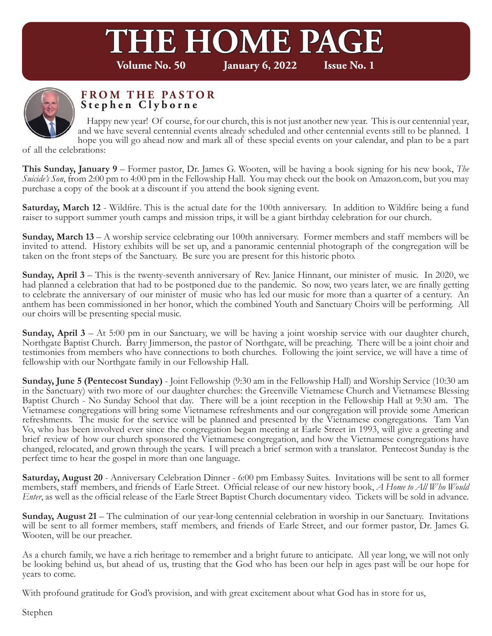# **THE HOME PAGE**<br>Volume No. 50 **Lanuary 6, 2022** Issue No. 1

**January 6, 2022** 



#### **FROM THE PASTOR Stephen Clyborne**

 Happy new year! Of course, for our church, this is not just another new year. This is our centennial year, and we have several centennial events already scheduled and other centennial events still to be planned. I hope you will go ahead now and mark all of these special events on your calendar, and plan to be a part

of all the celebrations:

**This Sunday, January 9** – Former pastor, Dr. James G. Wooten, will be having a book signing for his new book, *The Suicide's Son*, from 2:00 pm to 4:00 pm in the Fellowship Hall. You may check out the book on Amazon.com, but you may purchase a copy of the book at a discount if you attend the book signing event.

**Saturday, March 12** - Wildfire. This is the actual date for the 100th anniversary. In addition to Wildfire being a fund raiser to support summer youth camps and mission trips, it will be a giant birthday celebration for our church.

**Sunday, March 13** – A worship service celebrating our 100th anniversary. Former members and staff members will be invited to attend. History exhibits will be set up, and a panoramic centennial photograph of the congregation will be taken on the front steps of the Sanctuary. Be sure you are present for this historic photo.

**Sunday, April 3** – This is the twenty-seventh anniversary of Rev. Janice Hinnant, our minister of music. In 2020, we had planned a celebration that had to be postponed due to the pandemic. So now, two years later, we are finally getting to celebrate the anniversary of our minister of music who has led our music for more than a quarter of a century. An anthem has been commissioned in her honor, which the combined Youth and Sanctuary Choirs will be performing. All our choirs will be presenting special music.

**Sunday, April 3** – At 5:00 pm in our Sanctuary, we will be having a joint worship service with our daughter church, Northgate Baptist Church. Barry Jimmerson, the pastor of Northgate, will be preaching. There will be a joint choir and testimonies from members who have connections to both churches. Following the joint service, we will have a time of fellowship with our Northgate family in our Fellowship Hall.

**Sunday, June 5 (Pentecost Sunday)** - Joint Fellowship (9:30 am in the Fellowship Hall) and Worship Service (10:30 am in the Sanctuary) with two more of our daughter churches: the Greenville Vietnamese Church and Vietnamese Blessing Baptist Church - No Sunday School that day. There will be a joint reception in the Fellowship Hall at 9:30 am. The Vietnamese congregations will bring some Vietnamese refreshments and our congregation will provide some American refreshments. The music for the service will be planned and presented by the Vietnamese congregations. Tam Van Vo, who has been involved ever since the congregation began meeting at Earle Street in 1993, will give a greeting and brief review of how our church sponsored the Vietnamese congregation, and how the Vietnamese congregations have changed, relocated, and grown through the years. I will preach a brief sermon with a translator. Pentecost Sunday is the perfect time to hear the gospel in more than one language.

**Saturday, August 20** - Anniversary Celebration Dinner - 6:00 pm Embassy Suites. Invitations will be sent to all former members, staff members, and friends of Earle Street. Official release of our new history book, *A Home to All Who Would Enter*, as well as the official release of the Earle Street Baptist Church documentary video. Tickets will be sold in advance.

**Sunday, August 21** – The culmination of our year-long centennial celebration in worship in our Sanctuary. Invitations will be sent to all former members, staff members, and friends of Earle Street, and our former pastor, Dr. James G. Wooten, will be our preacher.

As a church family, we have a rich heritage to remember and a bright future to anticipate. All year long, we will not only be looking behind us, but ahead of us, trusting that the God who has been our help in ages past will be our hope for years to come.

With profound gratitude for God's provision, and with great excitement about what God has in store for us,

Stephen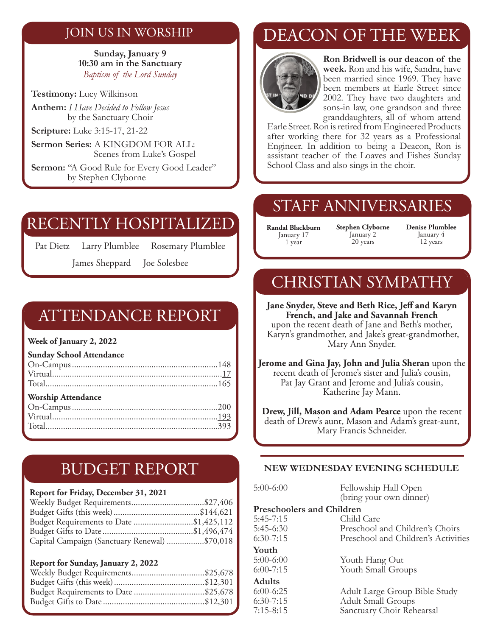### JOIN US IN WORSHIP

**Sunday, January 9 10:30 am in the Sanctuary** *Baptism of the Lord Sunday*

**Testimony:** Lucy Wilkinson

**Anthem:** *I Have Decided to Follow Jesus* by the Sanctuary Choir

**Scripture:** Luke 3:15-17, 21-22

**Sermon Series:** A KINGDOM FOR ALL: Scenes from Luke's Gospel

Sermon: "A Good Rule for Every Good Leader" by Stephen Clyborne

## RECENTLY HOSPITALIZED

Pat Dietz Larry Plumblee Rosemary Plumblee

James Sheppard Joe Solesbee

## ATTENDANCE REPORT

**Week of January 2, 2022**

**Sunday School Attendance** 

| <b>Worship Attendance</b> |  |
|---------------------------|--|
|                           |  |
|                           |  |
|                           |  |
|                           |  |

# BUDGET REPORT

#### **Report for Friday, December 31, 2021**

| Budget Requirements to Date \$1,425,112       |  |
|-----------------------------------------------|--|
|                                               |  |
| Capital Campaign (Sanctuary Renewal) \$70,018 |  |

#### **Report for Sunday, January 2, 2022**

| Budget Requirements to Date \$25,678 |  |
|--------------------------------------|--|
|                                      |  |
|                                      |  |

# DEACON OF THE WEEK



**Ron Bridwell is our deacon of the week.** Ron and his wife, Sandra, have been married since 1969. They have been members at Earle Street since 2002. They have two daughters and sons-in law, one grandson and three granddaughters, all of whom attend

Earle Street. Ron is retired from Engineered Products after working there for 32 years as a Professional Engineer. In addition to being a Deacon, Ron is assistant teacher of the Loaves and Fishes Sunday School Class and also sings in the choir.

## STAFF ANNIVERSARIES

**Randal Blackburn** January 17 1 year

**Stephen Clyborne** January 2 20 years

**Denise Plumblee** January 4 12 years

# CHRISTIAN SYMPATHY

**Jane Snyder, Steve and Beth Rice, Jeff and Karyn French, and Jake and Savannah French** upon the recent death of Jane and Beth's mother, Karyn's grandmother, and Jake's great-grandmother, Mary Ann Snyder.

**Jerome and Gina Jay, John and Julia Sheran** upon the recent death of Jerome's sister and Julia's cousin, Pat Jay Grant and Jerome and Julia's cousin, Katherine Jay Mann.

**Drew, Jill, Mason and Adam Pearce** upon the recent death of Drew's aunt, Mason and Adam's great-aunt, Mary Francis Schneider.

#### **NEW WEDNESDAY EVENING SCHEDULE**

| $5:00-6:00$                      | Fellowship Hall Open                |
|----------------------------------|-------------------------------------|
|                                  | (bring your own dinner)             |
| <b>Preschoolers and Children</b> |                                     |
| $5:45-7:15$                      | Child Care                          |
| $5:45-6:30$                      | Preschool and Children's Choirs     |
| $6:30-7:15$                      | Preschool and Children's Activities |
| Youth                            |                                     |
| $5:00-6:00$                      | Youth Hang Out                      |
| $6:00 - 7:15$                    | Youth Small Groups                  |
| <b>Adults</b>                    |                                     |
| $6:00-6:25$                      | Adult Large Group Bible Study       |
| $6:30-7:15$                      | <b>Adult Small Groups</b>           |
| $7:15 - 8:15$                    | Sanctuary Choir Rehearsal           |
|                                  |                                     |
|                                  |                                     |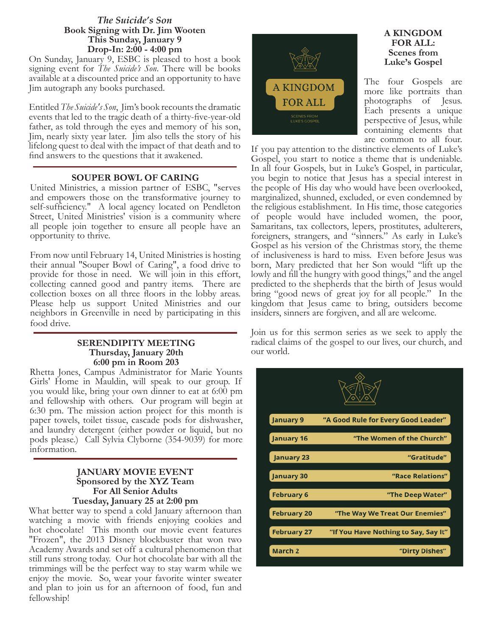#### *The Suicide's Son*  **Book Signing with Dr. Jim Wooten This Sunday, January 9 Drop-In: 2:00 - 4:00 pm**

On Sunday, January 9, ESBC is pleased to host a book signing event for *The Suicide's Son*. There will be books available at a discounted price and an opportunity to have Jim autograph any books purchased.

Entitled *The Suicide's Son*, Jim's book recounts the dramatic events that led to the tragic death of a thirty-five-year-old father, as told through the eyes and memory of his son, Jim, nearly sixty year later. Jim also tells the story of his lifelong quest to deal with the impact of that death and to find answers to the questions that it awakened.

#### **SOUPER BOWL OF CARING**

United Ministries, a mission partner of ESBC, "serves and empowers those on the transformative journey to self-sufficiency." A local agency located on Pendleton Street, United Ministries' vision is a community where all people join together to ensure all people have an opportunity to thrive.

From now until February 14, United Ministries is hosting their annual "Souper Bowl of Caring", a food drive to provide for those in need. We will join in this effort, collecting canned good and pantry items. There are collection boxes on all three floors in the lobby areas. Please help us support United Ministries and our neighbors in Greenville in need by participating in this food drive.

#### **SERENDIPITY MEETING Thursday, January 20th 6:00 pm in Room 203**

Rhetta Jones, Campus Administrator for Marie Younts Girls' Home in Mauldin, will speak to our group. If you would like, bring your own dinner to eat at 6:00 pm and fellowship with others. Our program will begin at 6:30 pm. The mission action project for this month is paper towels, toilet tissue, cascade pods for dishwasher, and laundry detergent (either powder or liquid, but no pods please.) Call Sylvia Clyborne (354-9039) for more information.

#### **JANUARY MOVIE EVENT Sponsored by the XYZ Team For All Senior Adults Tuesday, January 25 at 2:00 pm**

What better way to spend a cold January afternoon than watching a movie with friends enjoying cookies and hot chocolate! This month our movie event features "Frozen", the 2013 Disney blockbuster that won two Academy Awards and set off a cultural phenomenon that still runs strong today. Our hot chocolate bar with all the trimmings will be the perfect way to stay warm while we enjoy the movie. So, wear your favorite winter sweater and plan to join us for an afternoon of food, fun and fellowship!



#### **A KINGDOM FOR ALL: Scenes from Luke's Gospel**

The four Gospels are more like portraits than photographs of Jesus. Each presents a unique perspective of Jesus, while containing elements that are common to all four.

If you pay attention to the distinctive elements of Luke's Gospel, you start to notice a theme that is undeniable. In all four Gospels, but in Luke's Gospel, in particular, you begin to notice that Jesus has a special interest in the people of His day who would have been overlooked, marginalized, shunned, excluded, or even condemned by the religious establishment. In His time, those categories of people would have included women, the poor, Samaritans, tax collectors, lepers, prostitutes, adulterers, foreigners, strangers, and "sinners." As early in Luke's Gospel as his version of the Christmas story, the theme of inclusiveness is hard to miss. Even before Jesus was born, Mary predicted that her Son would "lift up the lowly and fill the hungry with good things," and the angel predicted to the shepherds that the birth of Jesus would bring "good news of great joy for all people." In the kingdom that Jesus came to bring, outsiders become insiders, sinners are forgiven, and all are welcome.

Join us for this sermon series as we seek to apply the radical claims of the gospel to our lives, our church, and our world.

| <b>January 9</b>   | "A Good Rule for Every Good Leader"  |
|--------------------|--------------------------------------|
| January 16         | "The Women of the Church"            |
| <b>January 23</b>  | "Gratitude"                          |
| January 30         | "Race Relations"                     |
| <b>February 6</b>  | "The Deep Water"                     |
| <b>February 20</b> | "The Way We Treat Our Enemies"       |
| <b>February 27</b> | "If You Have Nothing to Say, Say It" |
| March <sub>2</sub> | "Dirty Dishes"                       |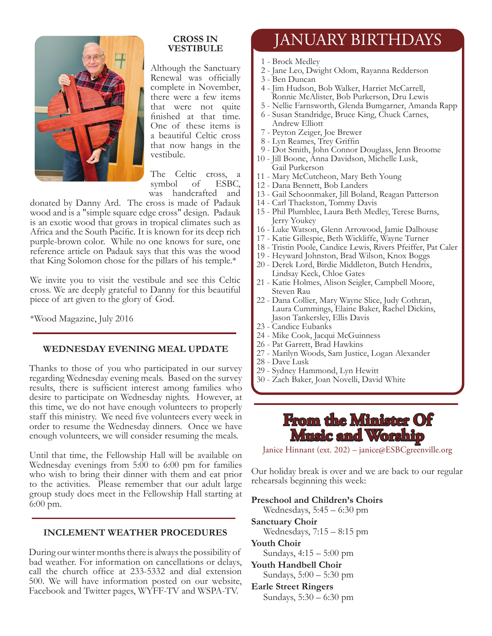

#### **CROSS IN VESTIBULE**

Although the Sanctuary Renewal was officially complete in November, there were a few items that were not quite finished at that time. One of these items is a beautiful Celtic cross that now hangs in the vestibule.

The Celtic cross, a symbol of ESBC, was handcrafted and

donated by Danny Ard. The cross is made of Padauk wood and is a "simple square edge cross" design. Padauk is an exotic wood that grows in tropical climates such as Africa and the South Pacific. It is known for its deep rich purple-brown color. While no one knows for sure, one reference article on Padauk says that this was the wood that King Solomon chose for the pillars of his temple.\*

We invite you to visit the vestibule and see this Celtic cross. We are deeply grateful to Danny for this beautiful piece of art given to the glory of God.

\*Wood Magazine, July 2016

#### **WEDNESDAY EVENING MEAL UPDATE**

Thanks to those of you who participated in our survey regarding Wednesday evening meals. Based on the survey results, there is sufficient interest among families who desire to participate on Wednesday nights. However, at this time, we do not have enough volunteers to properly staff this ministry. We need five volunteers every week in order to resume the Wednesday dinners. Once we have enough volunteers, we will consider resuming the meals.

Until that time, the Fellowship Hall will be available on Wednesday evenings from 5:00 to 6:00 pm for families who wish to bring their dinner with them and eat prior to the activities. Please remember that our adult large group study does meet in the Fellowship Hall starting at 6:00 pm.

#### **INCLEMENT WEATHER PROCEDURES**

During our winter months there is always the possibility of bad weather. For information on cancellations or delays, call the church office at 233-5332 and dial extension 500. We will have information posted on our website, Facebook and Twitter pages, WYFF-TV and WSPA-TV.

# JANUARY BIRTHDAYS

- 1 Brock Medley
- 2 Jane Leo, Dwight Odom, Rayanna Redderson
- 3 Ben Duncan
- 4 Jim Hudson, Bob Walker, Harriet McCarrell, Ronnie McAlister, Bob Purkerson, Dru Lewis
- 5 Nellie Farnsworth, Glenda Bumgarner, Amanda Rapp
- 6 Susan Standridge, Bruce King, Chuck Carnes, Andrew Elliott
- 7 Peyton Zeiger, Joe Brewer
- 8 Lyn Reames, Trey Griffin
- 9 Dot Smith, John Connor Douglass, Jenn Broome
- 10 Jill Boone, Anna Davidson, Michelle Lusk, Gail Purkerson
- 11 Mary McCutcheon, Mary Beth Young
- 12 Dana Bennett, Bob Landers
- 13 Gail Schoonmaker, Jill Boland, Reagan Patterson
- 14 Carl Thackston, Tommy Davis
- 15 Phil Plumblee, Laura Beth Medley, Terese Burns, Jerry Youkey
- 16 Luke Watson, Glenn Arrowood, Jamie Dalhouse
- 17 Katie Gillespie, Beth Wickliffe, Wayne Turner
- 18 Tristin Poole, Candice Lewis, Rivers Pfeiffer, Pat Caler
- 19 Heyward Johnston, Brad Wilson, Knox Boggs
- 20 Derek Lord, Birdie Middleton, Butch Hendrix, Lindsay Keck, Chloe Gates
- 21 Katie Holmes, Alison Seigler, Campbell Moore, Steven Rau
- 22 Dana Collier, Mary Wayne Slice, Judy Cothran, Laura Cummings, Elaine Baker, Rachel Dickins, Jason Tankersley, Ellis Davis
- 23 Candice Eubanks
- 24 Mike Cook, Jacqui McGuinness
- 26 Pat Garrett, Brad Hawkins
- 27 Marilyn Woods, Sam Justice, Logan Alexander
- 28 Dave Lusk
- 29 Sydney Hammond, Lyn Hewitt
- 30 Zach Baker, Joan Novelli, David White

## **From the Minister Of Music and Worship**

Janice Hinnant (ext. 202) – janice@ESBCgreenville.org

Our holiday break is over and we are back to our regular rehearsals beginning this week:

#### **Preschool and Children's Choirs**

Wednesdays, 5:45 – 6:30 pm

- **Sanctuary Choir** Wednesdays, 7:15 – 8:15 pm
- **Youth Choir** Sundays, 4:15 – 5:00 pm
- **Youth Handbell Choir** Sundays, 5:00 – 5:30 pm
- **Earle Street Ringers**

Sundays, 5:30 – 6:30 pm